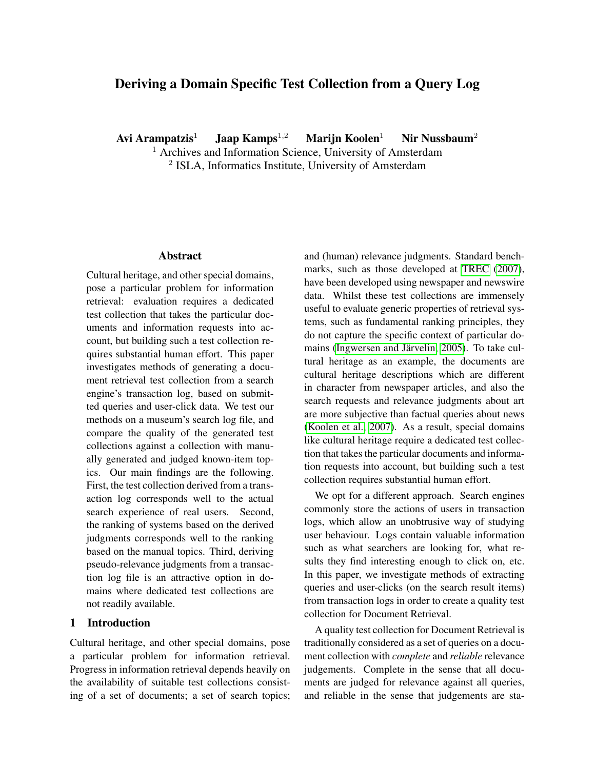# Deriving a Domain Specific Test Collection from a Query Log

Avi Arampatzis<sup>1</sup> Jaap Kamps<sup>1,2</sup> Marijn Koolen<sup>1</sup> Nir Nussbaum<sup>2</sup>

<sup>1</sup> Archives and Information Science, University of Amsterdam

<sup>2</sup> ISLA, Informatics Institute, University of Amsterdam

## Abstract

Cultural heritage, and other special domains, pose a particular problem for information retrieval: evaluation requires a dedicated test collection that takes the particular documents and information requests into account, but building such a test collection requires substantial human effort. This paper investigates methods of generating a document retrieval test collection from a search engine's transaction log, based on submitted queries and user-click data. We test our methods on a museum's search log file, and compare the quality of the generated test collections against a collection with manually generated and judged known-item topics. Our main findings are the following. First, the test collection derived from a transaction log corresponds well to the actual search experience of real users. Second, the ranking of systems based on the derived judgments corresponds well to the ranking based on the manual topics. Third, deriving pseudo-relevance judgments from a transaction log file is an attractive option in domains where dedicated test collections are not readily available.

### 1 Introduction

Cultural heritage, and other special domains, pose a particular problem for information retrieval. Progress in information retrieval depends heavily on the availability of suitable test collections consisting of a set of documents; a set of search topics; and (human) relevance judgments. Standard benchmarks, such as those developed at [TREC](#page-7-0) [\(2007\)](#page-7-0), have been developed using newspaper and newswire data. Whilst these test collections are immensely useful to evaluate generic properties of retrieval systems, such as fundamental ranking principles, they do not capture the specific context of particular domains (Ingwersen and Järvelin, 2005). To take cultural heritage as an example, the documents are cultural heritage descriptions which are different in character from newspaper articles, and also the search requests and relevance judgments about art are more subjective than factual queries about news [\(Koolen et al., 2007\)](#page-7-2). As a result, special domains like cultural heritage require a dedicated test collection that takes the particular documents and information requests into account, but building such a test collection requires substantial human effort.

We opt for a different approach. Search engines commonly store the actions of users in transaction logs, which allow an unobtrusive way of studying user behaviour. Logs contain valuable information such as what searchers are looking for, what results they find interesting enough to click on, etc. In this paper, we investigate methods of extracting queries and user-clicks (on the search result items) from transaction logs in order to create a quality test collection for Document Retrieval.

A quality test collection for Document Retrieval is traditionally considered as a set of queries on a document collection with *complete* and *reliable* relevance judgements. Complete in the sense that all documents are judged for relevance against all queries, and reliable in the sense that judgements are sta-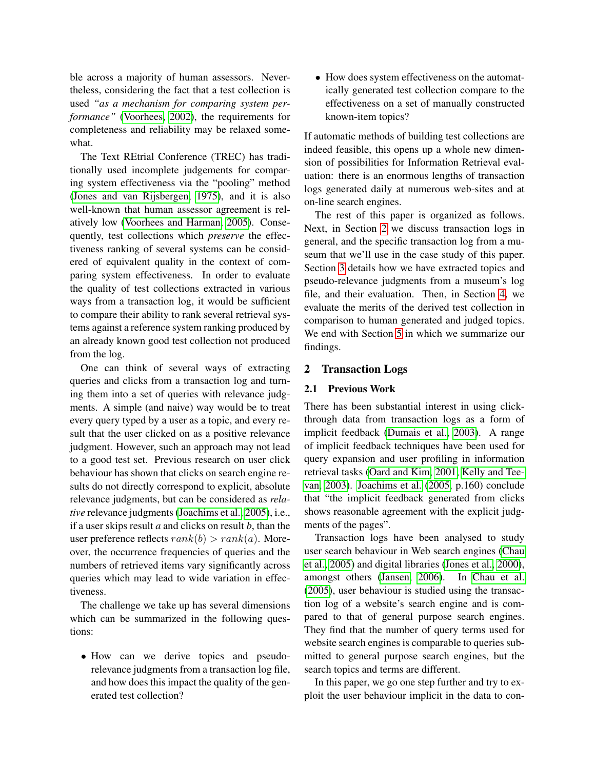ble across a majority of human assessors. Nevertheless, considering the fact that a test collection is used *"as a mechanism for comparing system performance"* [\(Voorhees, 2002\)](#page-7-3), the requirements for completeness and reliability may be relaxed somewhat.

The Text REtrial Conference (TREC) has traditionally used incomplete judgements for comparing system effectiveness via the "pooling" method [\(Jones and van Rijsbergen, 1975\)](#page-7-4), and it is also well-known that human assessor agreement is relatively low [\(Voorhees and Harman, 2005\)](#page-7-5). Consequently, test collections which *preserve* the effectiveness ranking of several systems can be considered of equivalent quality in the context of comparing system effectiveness. In order to evaluate the quality of test collections extracted in various ways from a transaction log, it would be sufficient to compare their ability to rank several retrieval systems against a reference system ranking produced by an already known good test collection not produced from the log.

One can think of several ways of extracting queries and clicks from a transaction log and turning them into a set of queries with relevance judgments. A simple (and naive) way would be to treat every query typed by a user as a topic, and every result that the user clicked on as a positive relevance judgment. However, such an approach may not lead to a good test set. Previous research on user click behaviour has shown that clicks on search engine results do not directly correspond to explicit, absolute relevance judgments, but can be considered as *relative* relevance judgments [\(Joachims et al., 2005\)](#page-7-6), i.e., if a user skips result *a* and clicks on result *b*, than the user preference reflects  $rank(b) > rank(a)$ . Moreover, the occurrence frequencies of queries and the numbers of retrieved items vary significantly across queries which may lead to wide variation in effectiveness.

The challenge we take up has several dimensions which can be summarized in the following questions:

• How can we derive topics and pseudorelevance judgments from a transaction log file, and how does this impact the quality of the generated test collection?

• How does system effectiveness on the automatically generated test collection compare to the effectiveness on a set of manually constructed known-item topics?

If automatic methods of building test collections are indeed feasible, this opens up a whole new dimension of possibilities for Information Retrieval evaluation: there is an enormous lengths of transaction logs generated daily at numerous web-sites and at on-line search engines.

The rest of this paper is organized as follows. Next, in Section [2](#page-1-0) we discuss transaction logs in general, and the specific transaction log from a museum that we'll use in the case study of this paper. Section [3](#page-3-0) details how we have extracted topics and pseudo-relevance judgments from a museum's log file, and their evaluation. Then, in Section [4,](#page-4-0) we evaluate the merits of the derived test collection in comparison to human generated and judged topics. We end with Section [5](#page-6-0) in which we summarize our findings.

### <span id="page-1-0"></span>2 Transaction Logs

#### <span id="page-1-1"></span>2.1 Previous Work

There has been substantial interest in using clickthrough data from transaction logs as a form of implicit feedback [\(Dumais et al., 2003\)](#page-7-7). A range of implicit feedback techniques have been used for query expansion and user profiling in information retrieval tasks [\(Oard and Kim, 2001;](#page-7-8) [Kelly and Tee](#page-7-9)[van, 2003\)](#page-7-9). [Joachims et al.](#page-7-6) [\(2005,](#page-7-6) p.160) conclude that "the implicit feedback generated from clicks shows reasonable agreement with the explicit judgments of the pages".

Transaction logs have been analysed to study user search behaviour in Web search engines [\(Chau](#page-7-10) [et al., 2005\)](#page-7-10) and digital libraries [\(Jones et al., 2000\)](#page-7-11), amongst others [\(Jansen, 2006\)](#page-7-12). In [Chau et al.](#page-7-10) [\(2005\)](#page-7-10), user behaviour is studied using the transaction log of a website's search engine and is compared to that of general purpose search engines. They find that the number of query terms used for website search engines is comparable to queries submitted to general purpose search engines, but the search topics and terms are different.

In this paper, we go one step further and try to exploit the user behaviour implicit in the data to con-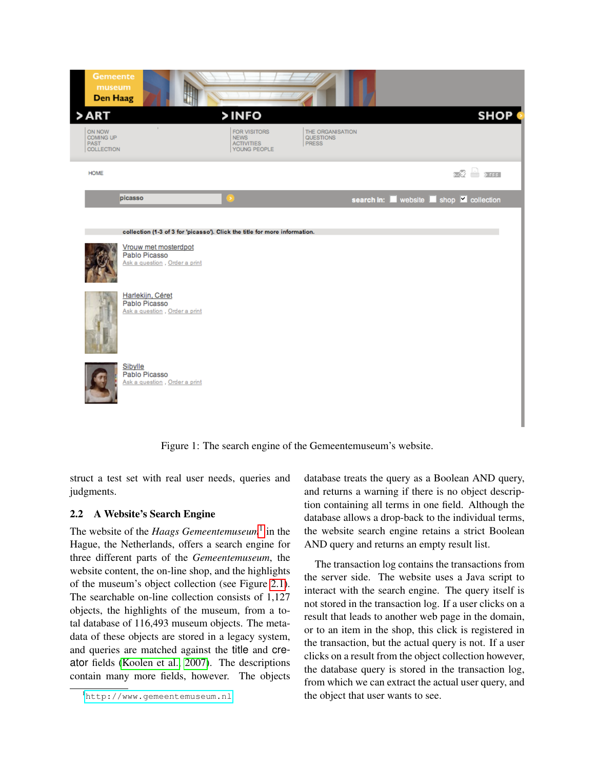

Figure 1: The search engine of the Gemeentemuseum's website.

struct a test set with real user needs, queries and judgments.

# 2.2 A Website's Search Engine

The website of the *Haags Gemeentemuseum*<sup>[1](#page-2-0)</sup> in the Hague, the Netherlands, offers a search engine for three different parts of the *Gemeentemuseum*, the website content, the on-line shop, and the highlights of the museum's object collection (see Figure [2.1\)](#page-1-1). The searchable on-line collection consists of 1,127 objects, the highlights of the museum, from a total database of 116,493 museum objects. The metadata of these objects are stored in a legacy system, and queries are matched against the title and creator fields [\(Koolen et al., 2007\)](#page-7-2). The descriptions contain many more fields, however. The objects database treats the query as a Boolean AND query, and returns a warning if there is no object description containing all terms in one field. Although the database allows a drop-back to the individual terms, the website search engine retains a strict Boolean AND query and returns an empty result list.

The transaction log contains the transactions from the server side. The website uses a Java script to interact with the search engine. The query itself is not stored in the transaction log. If a user clicks on a result that leads to another web page in the domain, or to an item in the shop, this click is registered in the transaction, but the actual query is not. If a user clicks on a result from the object collection however, the database query is stored in the transaction log, from which we can extract the actual user query, and the object that user wants to see.

<span id="page-2-0"></span><sup>1</sup><http://www.gemeentemuseum.nl>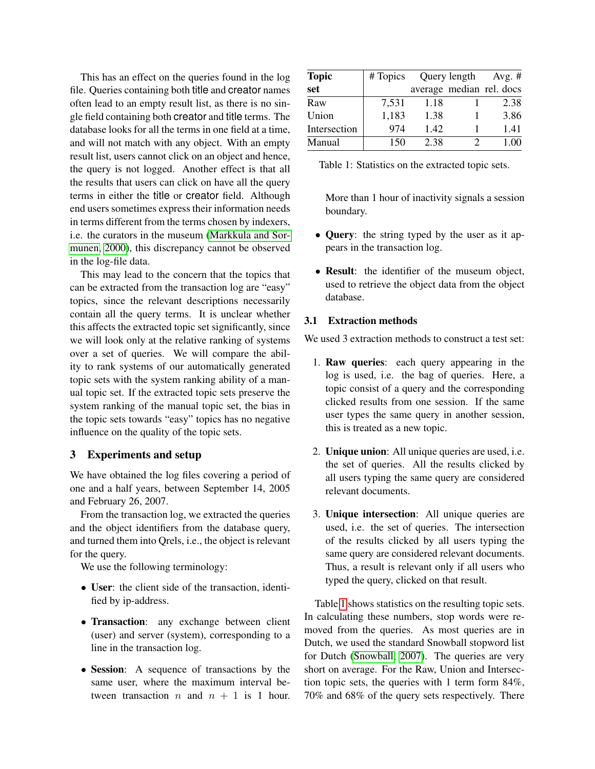This has an effect on the queries found in the log file. Queries containing both title and creator names often lead to an empty result list, as there is no single field containing both creator and title terms. The database looks for all the terms in one field at a time, and will not match with any object. With an empty result list, users cannot click on an object and hence, the query is not logged. Another effect is that all the results that users can click on have all the query terms in either the title or creator field. Although end users sometimes express their information needs in terms different from the terms chosen by indexers, i.e. the curators in the museum [\(Markkula and Sor](#page-7-13)[munen, 2000\)](#page-7-13), this discrepancy cannot be observed in the log-file data.

This may lead to the concern that the topics that can be extracted from the transaction log are "easy" topics, since the relevant descriptions necessarily contain all the query terms. It is unclear whether this affects the extracted topic set significantly, since we will look only at the relative ranking of systems over a set of queries. We will compare the ability to rank systems of our automatically generated topic sets with the system ranking ability of a manual topic set. If the extracted topic sets preserve the system ranking of the manual topic set, the bias in the topic sets towards "easy" topics has no negative influence on the quality of the topic sets.

# <span id="page-3-0"></span>3 Experiments and setup

We have obtained the log files covering a period of one and a half years, between September 14, 2005 and February 26, 2007.

From the transaction log, we extracted the queries and the object identifiers from the database query, and turned them into Qrels, i.e., the object is relevant for the query.

We use the following terminology:

- User: the client side of the transaction, identified by ip-address.
- Transaction: any exchange between client (user) and server (system), corresponding to a line in the transaction log.
- Session: A sequence of transactions by the same user, where the maximum interval between transaction n and  $n + 1$  is 1 hour.

| <b>Topic</b> | # Topics |      | Query length | Avg. $#$                 |
|--------------|----------|------|--------------|--------------------------|
| set          |          |      |              | average median rel. docs |
| Raw          | 7,531    | 1.18 |              | 2.38                     |
| Union        | 1,183    | 1.38 |              | 3.86                     |
| Intersection | 974      | 1.42 |              | 1.41                     |
| Manual       | 150      | 2.38 |              | 1.00                     |

<span id="page-3-1"></span>

| Table 1: Statistics on the extracted topic sets. |  |
|--------------------------------------------------|--|
|--------------------------------------------------|--|

More than 1 hour of inactivity signals a session boundary.

- Query: the string typed by the user as it appears in the transaction log.
- Result: the identifier of the museum object, used to retrieve the object data from the object database.

### 3.1 Extraction methods

We used 3 extraction methods to construct a test set:

- 1. Raw queries: each query appearing in the log is used, i.e. the bag of queries. Here, a topic consist of a query and the corresponding clicked results from one session. If the same user types the same query in another session, this is treated as a new topic.
- 2. Unique union: All unique queries are used, i.e. the set of queries. All the results clicked by all users typing the same query are considered relevant documents.
- 3. Unique intersection: All unique queries are used, i.e. the set of queries. The intersection of the results clicked by all users typing the same query are considered relevant documents. Thus, a result is relevant only if all users who typed the query, clicked on that result.

Table [1](#page-3-1) shows statistics on the resulting topic sets. In calculating these numbers, stop words were removed from the queries. As most queries are in Dutch, we used the standard Snowball stopword list for Dutch [\(Snowball, 2007\)](#page-7-14). The queries are very short on average. For the Raw, Union and Intersection topic sets, the queries with 1 term form 84%, 70% and 68% of the query sets respectively. There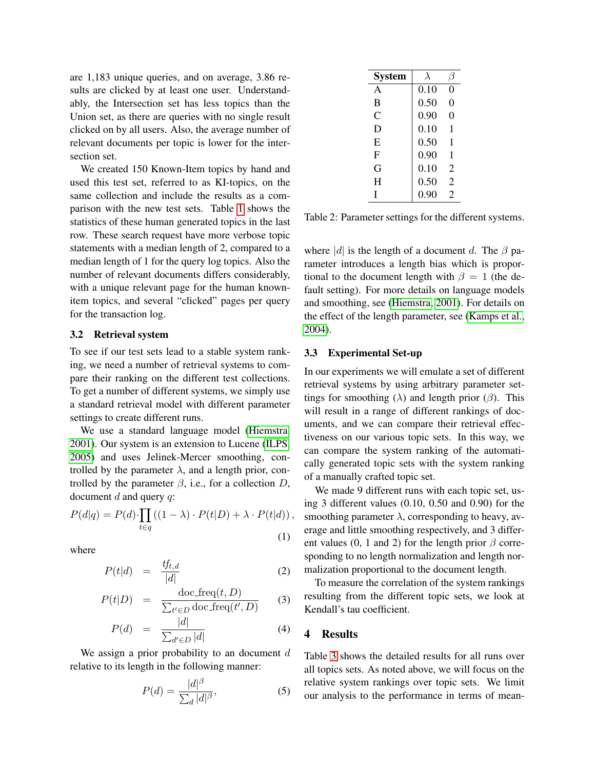are 1,183 unique queries, and on average, 3.86 results are clicked by at least one user. Understandably, the Intersection set has less topics than the Union set, as there are queries with no single result clicked on by all users. Also, the average number of relevant documents per topic is lower for the intersection set.

We created 150 Known-Item topics by hand and used this test set, referred to as KI-topics, on the same collection and include the results as a comparison with the new test sets. Table [1](#page-3-1) shows the statistics of these human generated topics in the last row. These search request have more verbose topic statements with a median length of 2, compared to a median length of 1 for the query log topics. Also the number of relevant documents differs considerably, with a unique relevant page for the human knownitem topics, and several "clicked" pages per query for the transaction log.

#### 3.2 Retrieval system

To see if our test sets lead to a stable system ranking, we need a number of retrieval systems to compare their ranking on the different test collections. To get a number of different systems, we simply use a standard retrieval model with different parameter settings to create different runs.

We use a standard language model [\(Hiemstra,](#page-7-15) [2001\)](#page-7-15). Our system is an extension to Lucene [\(ILPS,](#page-7-16) [2005\)](#page-7-16) and uses Jelinek-Mercer smoothing, controlled by the parameter  $\lambda$ , and a length prior, controlled by the parameter  $\beta$ , i.e., for a collection D, document  $d$  and query  $q$ :

$$
P(d|q) = P(d) \cdot \prod_{t \in q} \left( (1 - \lambda) \cdot P(t|D) + \lambda \cdot P(t|d) \right),\tag{1}
$$

where

$$
P(t|d) = \frac{tf_{t,d}}{|d|} \tag{2}
$$

$$
P(t|D) = \frac{\text{doc\_freq}(t, D)}{\sum_{t' \in D} \text{doc\_freq}(t', D)}
$$
(3)

$$
P(d) = \frac{|d|}{\sum_{d' \in D} |d|} \tag{4}
$$

We assign a prior probability to an document  $d$ relative to its length in the following manner:

$$
P(d) = \frac{|d|^{\beta}}{\sum_{d} |d|^{\beta}},
$$
\n(5)

| <b>System</b> | $\lambda$ |                |
|---------------|-----------|----------------|
| $\mathsf{A}$  | 0.10      | 0              |
| B             | 0.50      | 0              |
| C             | 0.90      | 0              |
| D             | 0.10      | 1              |
| E             | 0.50      | 1              |
| F             | 0.90      | 1              |
| G             | 0.10      | 2              |
| H             | 0.50      | 2              |
| I             | 0.90      | $\overline{c}$ |

<span id="page-4-1"></span>Table 2: Parameter settings for the different systems.

where |d| is the length of a document d. The  $\beta$  parameter introduces a length bias which is proportional to the document length with  $\beta = 1$  (the default setting). For more details on language models and smoothing, see [\(Hiemstra, 2001\)](#page-7-15). For details on the effect of the length parameter, see [\(Kamps et al.,](#page-7-17) [2004\)](#page-7-17).

#### 3.3 Experimental Set-up

In our experiments we will emulate a set of different retrieval systems by using arbitrary parameter settings for smoothing ( $\lambda$ ) and length prior ( $\beta$ ). This will result in a range of different rankings of documents, and we can compare their retrieval effectiveness on our various topic sets. In this way, we can compare the system ranking of the automatically generated topic sets with the system ranking of a manually crafted topic set.

We made 9 different runs with each topic set, using 3 different values (0.10, 0.50 and 0.90) for the smoothing parameter  $\lambda$ , corresponding to heavy, average and little smoothing respectively, and 3 different values (0, 1 and 2) for the length prior  $\beta$  corresponding to no length normalization and length normalization proportional to the document length.

To measure the correlation of the system rankings resulting from the different topic sets, we look at Kendall's tau coefficient.

#### <span id="page-4-0"></span>4 Results

Table [3](#page-5-0) shows the detailed results for all runs over all topics sets. As noted above, we will focus on the relative system rankings over topic sets. We limit our analysis to the performance in terms of mean-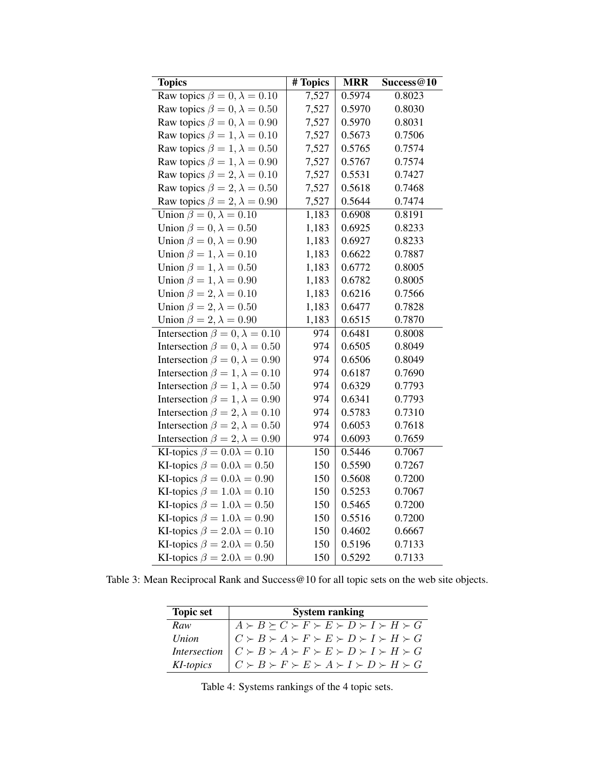| <b>Topics</b>                            | # Topics | <b>MRR</b> | Success@10 |
|------------------------------------------|----------|------------|------------|
| Raw topics $\beta = 0, \lambda = 0.10$   | 7,527    | 0.5974     | 0.8023     |
| Raw topics $\beta = 0, \lambda = 0.50$   | 7,527    | 0.5970     | 0.8030     |
| Raw topics $\beta = 0, \lambda = 0.90$   | 7,527    | 0.5970     | 0.8031     |
| Raw topics $\beta = 1, \lambda = 0.10$   | 7,527    | 0.5673     | 0.7506     |
| Raw topics $\beta = 1, \lambda = 0.50$   | 7,527    | 0.5765     | 0.7574     |
| Raw topics $\beta = 1, \lambda = 0.90$   | 7,527    | 0.5767     | 0.7574     |
| Raw topics $\beta = 2, \lambda = 0.10$   | 7,527    | 0.5531     | 0.7427     |
| Raw topics $\beta = 2, \lambda = 0.50$   | 7,527    | 0.5618     | 0.7468     |
| Raw topics $\beta = 2, \lambda = 0.90$   | 7,527    | 0.5644     | 0.7474     |
| Union $\beta = 0, \lambda = 0.10$        | 1,183    | 0.6908     | 0.8191     |
| Union $\beta = 0, \lambda = 0.50$        | 1,183    | 0.6925     | 0.8233     |
| Union $\beta = 0, \lambda = 0.90$        | 1,183    | 0.6927     | 0.8233     |
| Union $\beta = 1, \lambda = 0.10$        | 1,183    | 0.6622     | 0.7887     |
| Union $\beta = 1, \lambda = 0.50$        | 1,183    | 0.6772     | 0.8005     |
| Union $\beta = 1, \lambda = 0.90$        | 1,183    | 0.6782     | 0.8005     |
| Union $\beta = 2, \lambda = 0.10$        | 1,183    | 0.6216     | 0.7566     |
| Union $\beta = 2, \lambda = 0.50$        | 1,183    | 0.6477     | 0.7828     |
| Union $\beta = 2, \lambda = 0.90$        | 1,183    | 0.6515     | 0.7870     |
| Intersection $\beta = 0, \lambda = 0.10$ | 974      | 0.6481     | 0.8008     |
| Intersection $\beta = 0, \lambda = 0.50$ | 974      | 0.6505     | 0.8049     |
| Intersection $\beta = 0, \lambda = 0.90$ | 974      | 0.6506     | 0.8049     |
| Intersection $\beta = 1, \lambda = 0.10$ | 974      | 0.6187     | 0.7690     |
| Intersection $\beta = 1, \lambda = 0.50$ | 974      | 0.6329     | 0.7793     |
| Intersection $\beta = 1, \lambda = 0.90$ | 974      | 0.6341     | 0.7793     |
| Intersection $\beta = 2, \lambda = 0.10$ | 974      | 0.5783     | 0.7310     |
| Intersection $\beta = 2, \lambda = 0.50$ | 974      | 0.6053     | 0.7618     |
| Intersection $\beta = 2, \lambda = 0.90$ | 974      | 0.6093     | 0.7659     |
| KI-topics $\beta = 0.0\lambda = 0.10$    | 150      | 0.5446     | 0.7067     |
| KI-topics $\beta = 0.0\lambda = 0.50$    | 150      | 0.5590     | 0.7267     |
| KI-topics $\beta = 0.0\lambda = 0.90$    | 150      | 0.5608     | 0.7200     |
| KI-topics $\beta = 1.0\lambda = 0.10$    | 150      | 0.5253     | 0.7067     |
| KI-topics $\beta = 1.0\lambda = 0.50$    | 150      | 0.5465     | 0.7200     |
| KI-topics $\beta = 1.0\lambda = 0.90$    | 150      | 0.5516     | 0.7200     |
| KI-topics $\beta = 2.0\lambda = 0.10$    | 150      | 0.4602     | 0.6667     |
| KI-topics $\beta = 2.0\lambda = 0.50$    | 150      | 0.5196     | 0.7133     |
| KI-topics $\beta = 2.0\lambda = 0.90$    | 150      | 0.5292     | 0.7133     |

<span id="page-5-0"></span>Table 3: Mean Reciprocal Rank and Success@10 for all topic sets on the web site objects.

| <b>Topic set</b> | <b>System ranking</b>                                                                                                                                                                                                                                                                                                                                                                                                                                    |  |  |
|------------------|----------------------------------------------------------------------------------------------------------------------------------------------------------------------------------------------------------------------------------------------------------------------------------------------------------------------------------------------------------------------------------------------------------------------------------------------------------|--|--|
|                  |                                                                                                                                                                                                                                                                                                                                                                                                                                                          |  |  |
|                  |                                                                                                                                                                                                                                                                                                                                                                                                                                                          |  |  |
|                  |                                                                                                                                                                                                                                                                                                                                                                                                                                                          |  |  |
|                  | $\begin{tabular}{ c c c c } \hline \textit{Raw} & $A \succ B \succeq C \succ F \succ E \succ D \succ I \succ H \succ G$ \\ \hline \textit{Union} & $C \succ B \succ A \succ F \succ E \succ D \succ I \succ H \succ G$ \\ \hline \textit{Intersection} & $C \succ B \succ A \succ F \succ E \succ D \succ I \succ H \succ G$ \\ \hline \textit{KI-topics} & $C \succ B \succ F \succ E \succ A \succ I \succ D \succ H \succ G$ \\ \hline \end{tabular}$ |  |  |

<span id="page-5-1"></span>Table 4: Systems rankings of the 4 topic sets.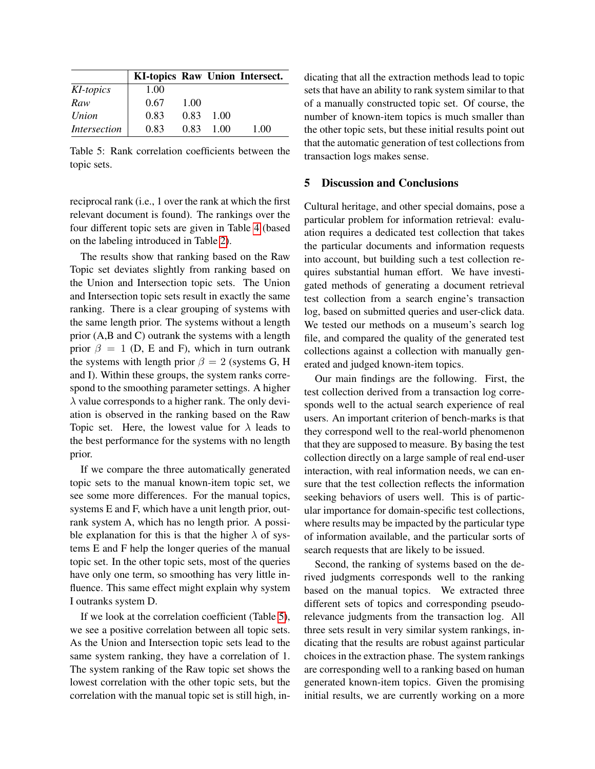|                     |      |      |      | KI-topics Raw Union Intersect. |
|---------------------|------|------|------|--------------------------------|
| KI-topics           | 1.00 |      |      |                                |
| Raw                 | 0.67 | 1.00 |      |                                |
| Union               | 0.83 | 0.83 | 1.00 |                                |
| <i>Intersection</i> | 0.83 | 0.83 | 1.00 | 1.00                           |

<span id="page-6-1"></span>Table 5: Rank correlation coefficients between the topic sets.

reciprocal rank (i.e., 1 over the rank at which the first relevant document is found). The rankings over the four different topic sets are given in Table [4](#page-5-1) (based on the labeling introduced in Table [2\)](#page-4-1).

The results show that ranking based on the Raw Topic set deviates slightly from ranking based on the Union and Intersection topic sets. The Union and Intersection topic sets result in exactly the same ranking. There is a clear grouping of systems with the same length prior. The systems without a length prior (A,B and C) outrank the systems with a length prior  $\beta = 1$  (D, E and F), which in turn outrank the systems with length prior  $\beta = 2$  (systems G, H and I). Within these groups, the system ranks correspond to the smoothing parameter settings. A higher  $\lambda$  value corresponds to a higher rank. The only deviation is observed in the ranking based on the Raw Topic set. Here, the lowest value for  $\lambda$  leads to the best performance for the systems with no length prior.

If we compare the three automatically generated topic sets to the manual known-item topic set, we see some more differences. For the manual topics, systems E and F, which have a unit length prior, outrank system A, which has no length prior. A possible explanation for this is that the higher  $\lambda$  of systems E and F help the longer queries of the manual topic set. In the other topic sets, most of the queries have only one term, so smoothing has very little influence. This same effect might explain why system I outranks system D.

If we look at the correlation coefficient (Table [5\)](#page-6-1), we see a positive correlation between all topic sets. As the Union and Intersection topic sets lead to the same system ranking, they have a correlation of 1. The system ranking of the Raw topic set shows the lowest correlation with the other topic sets, but the correlation with the manual topic set is still high, indicating that all the extraction methods lead to topic sets that have an ability to rank system similar to that of a manually constructed topic set. Of course, the number of known-item topics is much smaller than the other topic sets, but these initial results point out that the automatic generation of test collections from transaction logs makes sense.

### <span id="page-6-0"></span>5 Discussion and Conclusions

Cultural heritage, and other special domains, pose a particular problem for information retrieval: evaluation requires a dedicated test collection that takes the particular documents and information requests into account, but building such a test collection requires substantial human effort. We have investigated methods of generating a document retrieval test collection from a search engine's transaction log, based on submitted queries and user-click data. We tested our methods on a museum's search log file, and compared the quality of the generated test collections against a collection with manually generated and judged known-item topics.

Our main findings are the following. First, the test collection derived from a transaction log corresponds well to the actual search experience of real users. An important criterion of bench-marks is that they correspond well to the real-world phenomenon that they are supposed to measure. By basing the test collection directly on a large sample of real end-user interaction, with real information needs, we can ensure that the test collection reflects the information seeking behaviors of users well. This is of particular importance for domain-specific test collections, where results may be impacted by the particular type of information available, and the particular sorts of search requests that are likely to be issued.

Second, the ranking of systems based on the derived judgments corresponds well to the ranking based on the manual topics. We extracted three different sets of topics and corresponding pseudorelevance judgments from the transaction log. All three sets result in very similar system rankings, indicating that the results are robust against particular choices in the extraction phase. The system rankings are corresponding well to a ranking based on human generated known-item topics. Given the promising initial results, we are currently working on a more